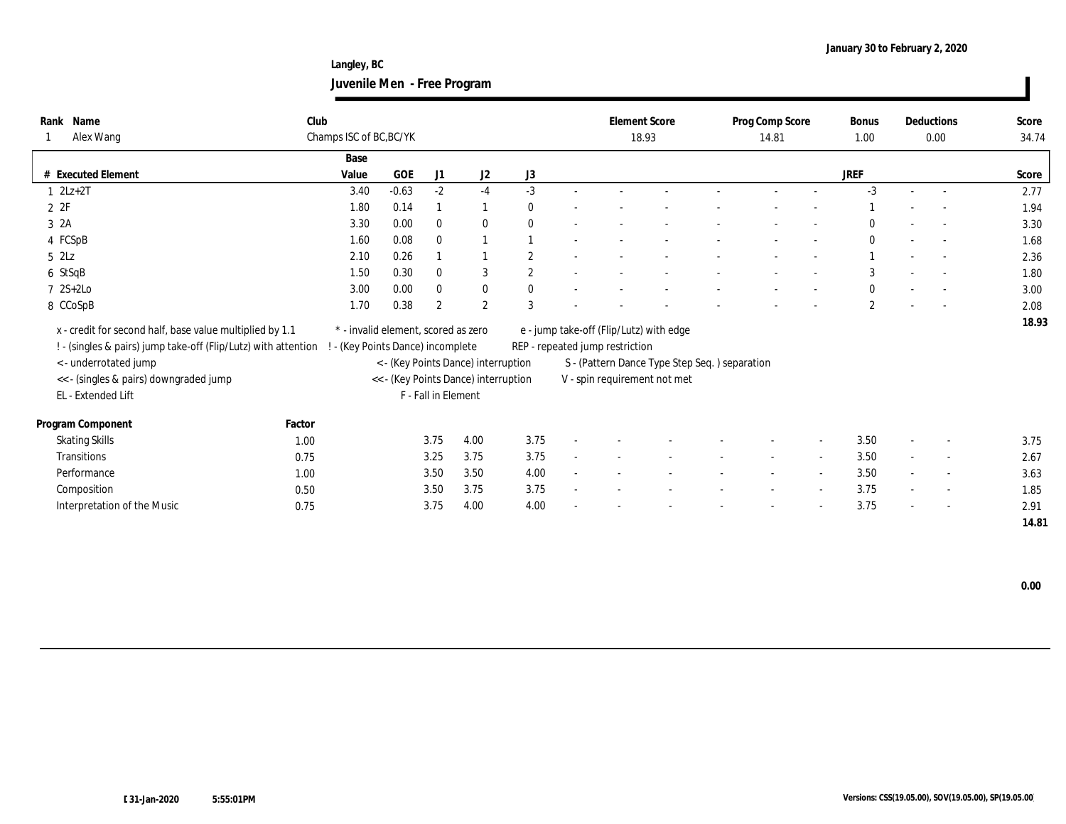**Langley, BC Juvenile Men - Free Program**

| Rank Name                                                      | Club   |                                      |            |                |                |                |  |                                               | <b>Element Score</b>                    |  | Prog Comp Score |        | <b>Bonus</b> |        | Deductions               | Score |
|----------------------------------------------------------------|--------|--------------------------------------|------------|----------------|----------------|----------------|--|-----------------------------------------------|-----------------------------------------|--|-----------------|--------|--------------|--------|--------------------------|-------|
| Alex Wang                                                      |        | Champs ISC of BC, BC/YK              |            |                |                |                |  | 18.93                                         |                                         |  | 14.81           |        | 1.00         |        | 0.00                     | 34.74 |
|                                                                |        | Base                                 |            |                |                |                |  |                                               |                                         |  |                 |        |              |        |                          |       |
| # Executed Element                                             |        | Value                                | <b>GOE</b> | J <sub>1</sub> | J <sub>2</sub> | J3             |  |                                               |                                         |  |                 |        | <b>JREF</b>  |        |                          | Score |
| $1 \quad 2Lz+2T$                                               |        | 3.40                                 | $-0.63$    | $-2$           | $-4$           | $-3$           |  |                                               |                                         |  |                 |        | $-3$         |        |                          | 2.77  |
| 2 2F                                                           |        | 1.80                                 | 0.14       |                |                | $\bf{0}$       |  |                                               |                                         |  |                 |        |              |        |                          | 1.94  |
| 3 2A                                                           |        | 3.30                                 | 0.00       | $\bf{0}$       | $\bf{0}$       | $\mathbf{0}$   |  |                                               |                                         |  |                 |        | 0            | $\sim$ | $\sim$                   | 3.30  |
| 4 FCSpB                                                        |        | 1.60                                 | 0.08       | $\mathbf{0}$   |                |                |  |                                               |                                         |  |                 |        | $\mathbf{0}$ |        | $\sim$                   | 1.68  |
| $5$ $2\text{L}z$                                               |        | 2.10                                 | 0.26       |                |                | $\overline{2}$ |  |                                               |                                         |  |                 |        |              |        |                          | 2.36  |
| 6 StSqB                                                        |        | 1.50                                 | 0.30       | $\bf{0}$       | 3              | $\mathbf{2}$   |  |                                               |                                         |  |                 |        | 3            |        |                          | 1.80  |
| $72S+2Lo$                                                      |        | 3.00                                 | 0.00       | $\mathbf{0}$   | $\bf{0}$       | $\bf{0}$       |  |                                               |                                         |  |                 |        | $\mathbf{0}$ | $\sim$ |                          | 3.00  |
| 8 CCoSpB                                                       |        | 1.70                                 | 0.38       | $\overline{2}$ | $\overline{2}$ | 3              |  |                                               |                                         |  |                 |        | $\mathbf{2}$ |        |                          | 2.08  |
| x - credit for second half, base value multiplied by 1.1       |        | * - invalid element, scored as zero  |            |                |                |                |  |                                               | e - jump take-off (Flip/Lutz) with edge |  |                 |        |              |        |                          | 18.93 |
| ! - (singles & pairs) jump take-off (Flip/Lutz) with attention |        | ! - (Key Points Dance) incomplete    |            |                |                |                |  | REP - repeated jump restriction               |                                         |  |                 |        |              |        |                          |       |
| < - underrotated jump                                          |        | < - (Key Points Dance) interruption  |            |                |                |                |  | S - (Pattern Dance Type Step Seq.) separation |                                         |  |                 |        |              |        |                          |       |
| << - (singles & pairs) downgraded jump                         |        | << - (Key Points Dance) interruption |            |                |                |                |  | V - spin requirement not met                  |                                         |  |                 |        |              |        |                          |       |
| EL - Extended Lift                                             |        | F - Fall in Element                  |            |                |                |                |  |                                               |                                         |  |                 |        |              |        |                          |       |
|                                                                |        |                                      |            |                |                |                |  |                                               |                                         |  |                 |        |              |        |                          |       |
| Program Component                                              | Factor |                                      |            |                |                |                |  |                                               |                                         |  |                 |        |              |        |                          |       |
| <b>Skating Skills</b>                                          | 1.00   |                                      |            | 3.75           | 4.00           | 3.75           |  |                                               |                                         |  |                 |        | 3.50         | $\sim$ | $\sim$                   | 3.75  |
| Transitions                                                    | 0.75   |                                      |            | 3.25           | 3.75           | 3.75           |  |                                               |                                         |  | $\sim$          | $\sim$ | 3.50         | $\sim$ | $\sim$                   | 2.67  |
| Performance                                                    | 1.00   |                                      |            | 3.50           | 3.50           | 4.00           |  |                                               |                                         |  |                 |        | 3.50         |        | $\sim$                   | 3.63  |
| Composition                                                    | 0.50   |                                      |            | 3.50           | 3.75           | 3.75           |  |                                               |                                         |  |                 |        | 3.75         | $\sim$ | $\overline{\phantom{a}}$ | 1.85  |
| Interpretation of the Music                                    | 0.75   |                                      |            | 3.75           | 4.00           | 4.00           |  |                                               |                                         |  |                 |        | 3.75         | $\sim$ | $\sim$                   | 2.91  |
|                                                                |        |                                      |            |                |                |                |  |                                               |                                         |  |                 |        |              |        |                          | 14.81 |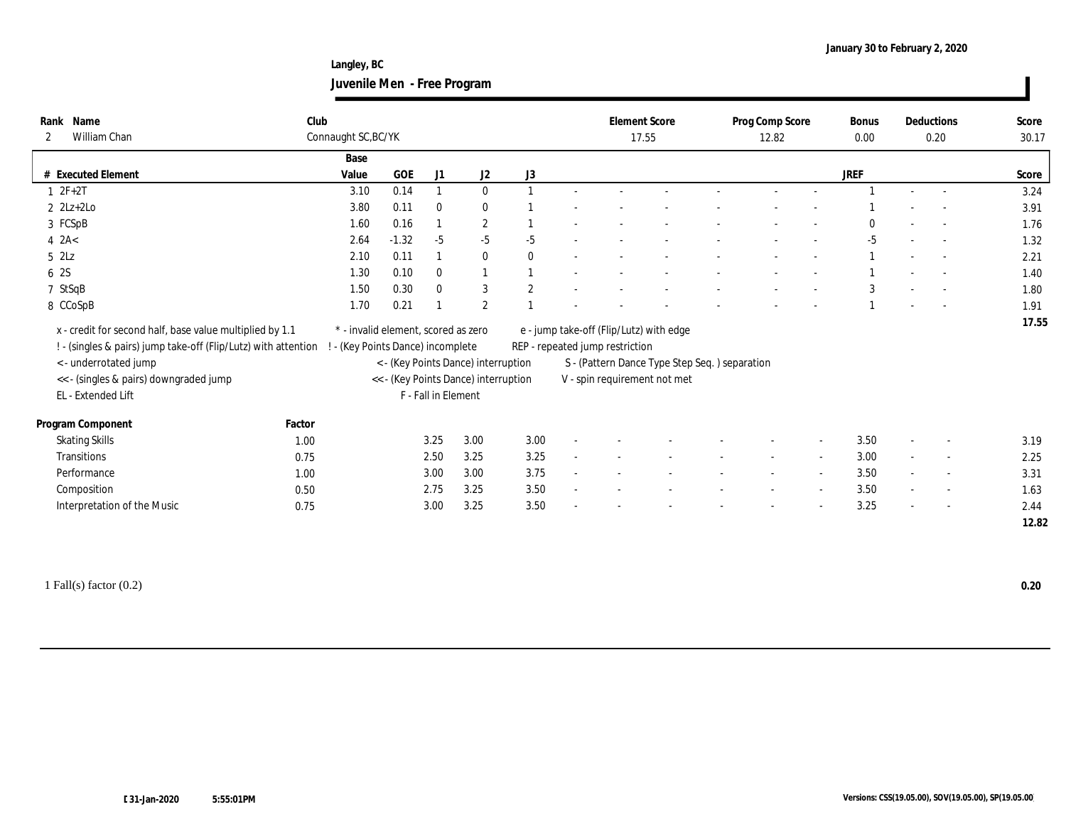**Langley, BC Juvenile Men - Free Program**

| Rank Name<br>William Chan<br>2                                                                                                                                                                | Club   | Connaught SC, BC/YK                                                    |         |          |                                     |              |        | <b>Element Score</b><br>17.55   |                                                                                                                          | Prog Comp Score<br>12.82 |        |      |                          | Deductions<br>0.20       | Score<br>30.17 |
|-----------------------------------------------------------------------------------------------------------------------------------------------------------------------------------------------|--------|------------------------------------------------------------------------|---------|----------|-------------------------------------|--------------|--------|---------------------------------|--------------------------------------------------------------------------------------------------------------------------|--------------------------|--------|------|--------------------------|--------------------------|----------------|
|                                                                                                                                                                                               |        | Base                                                                   |         |          |                                     |              |        |                                 |                                                                                                                          |                          |        |      |                          |                          |                |
| # Executed Element                                                                                                                                                                            |        | Value                                                                  | GOE     | J1       | J2                                  | J3           |        |                                 |                                                                                                                          |                          |        | JREF |                          |                          | Score          |
| $1 2F + 2T$                                                                                                                                                                                   |        | 3.10                                                                   | 0.14    |          | $\mathbf{0}$                        |              |        |                                 |                                                                                                                          |                          |        |      |                          |                          | 3.24           |
| $2$ $2Lz+2Lo$                                                                                                                                                                                 |        | 3.80                                                                   | 0.11    | $\theta$ | $\mathbf{0}$                        |              |        |                                 |                                                                                                                          |                          |        |      |                          |                          | 3.91           |
| 3 FCSpB                                                                                                                                                                                       |        | 1.60                                                                   | 0.16    |          | $\mathbf{2}$                        |              |        |                                 |                                                                                                                          |                          |        |      |                          |                          | 1.76           |
| $4$ $2A<$                                                                                                                                                                                     |        | 2.64                                                                   | $-1.32$ | $-5$     | $-5$                                | $-5$         |        |                                 |                                                                                                                          |                          |        | $-5$ |                          |                          | 1.32           |
| $5$ $2\text{L}z$                                                                                                                                                                              |        | 2.10                                                                   | 0.11    |          | $\bf{0}$                            | $\mathbf{0}$ |        |                                 |                                                                                                                          |                          |        |      | $\overline{\phantom{a}}$ |                          | 2.21           |
| 6 2S                                                                                                                                                                                          |        | 1.30                                                                   | 0.10    | $\bf{0}$ | 1                                   |              |        |                                 |                                                                                                                          |                          |        |      |                          |                          | 1.40           |
| 7 StSqB                                                                                                                                                                                       |        | 1.50                                                                   | 0.30    | $\theta$ | 3                                   | $\mathbf{2}$ |        |                                 |                                                                                                                          |                          |        | 3    | $\sim$                   |                          | 1.80           |
| 8 CCoSpB                                                                                                                                                                                      |        | 1.70                                                                   | 0.21    |          | $\mathbf{2}$                        |              |        |                                 |                                                                                                                          |                          |        |      |                          |                          | 1.91           |
| x - credit for second half, base value multiplied by 1.1<br>! - (singles & pairs) jump take-off (Flip/Lutz) with attention<br>< - underrotated jump<br><< - (singles & pairs) downgraded jump |        | * - invalid element, scored as zero<br>- (Key Points Dance) incomplete |         |          | < - (Key Points Dance) interruption |              |        | REP - repeated jump restriction | e - jump take-off (Flip/Lutz) with edge<br>S - (Pattern Dance Type Step Seq.) separation<br>V - spin requirement not met |                          |        |      |                          |                          | 17.55          |
| EL - Extended Lift                                                                                                                                                                            |        | << - (Key Points Dance) interruption<br>F - Fall in Element            |         |          |                                     |              |        |                                 |                                                                                                                          |                          |        |      |                          |                          |                |
| Program Component                                                                                                                                                                             | Factor |                                                                        |         |          |                                     |              |        |                                 |                                                                                                                          |                          |        |      |                          |                          |                |
| <b>Skating Skills</b>                                                                                                                                                                         | 1.00   |                                                                        |         | 3.25     | 3.00                                | 3.00         | $\sim$ |                                 |                                                                                                                          |                          |        | 3.50 | $\sim$                   | $\overline{\phantom{a}}$ | 3.19           |
| Transitions                                                                                                                                                                                   | 0.75   |                                                                        |         | 2.50     | 3.25                                | 3.25         | $\sim$ |                                 |                                                                                                                          |                          |        | 3.00 | $\overline{\phantom{a}}$ | $\overline{\phantom{a}}$ | 2.25           |
| Performance                                                                                                                                                                                   | 1.00   |                                                                        |         | 3.00     | 3.00                                | 3.75         | $\sim$ |                                 |                                                                                                                          | $\sim$                   | $\sim$ | 3.50 | $\sim$                   | $\sim$                   | 3.31           |
| Composition                                                                                                                                                                                   | 0.50   |                                                                        |         | 2.75     | 3.25                                | 3.50         |        |                                 |                                                                                                                          |                          |        | 3.50 | $\overline{\phantom{a}}$ |                          | 1.63           |
| Interpretation of the Music                                                                                                                                                                   | 0.75   |                                                                        |         | 3.00     | 3.25                                | 3.50         |        |                                 |                                                                                                                          |                          |        | 3.25 | $\sim$                   |                          | 2.44<br>12.82  |

1 Fall(s) factor (0.2) **0.20**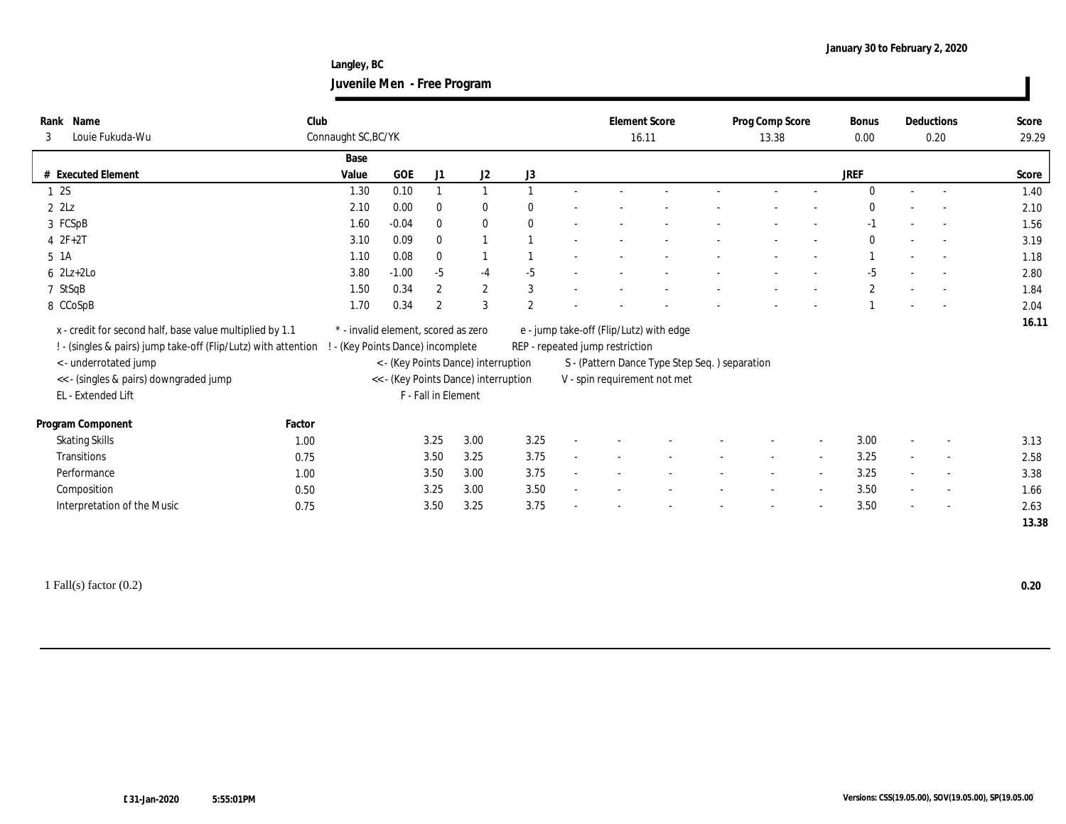**Langley, BC Juvenile Men - Free Program**

| Rank<br>3 | Name<br>Louie Fukuda-Wu                                                                                                    | Club   | Connaught SC, BC/YK                                                      |         |                     |                |                |                                               | <b>Element Score</b><br>16.11   |                                         |  | Prog Comp Score<br>13.38 |  |              |                          | Deductions<br>0.20 | Score<br>29.29 |
|-----------|----------------------------------------------------------------------------------------------------------------------------|--------|--------------------------------------------------------------------------|---------|---------------------|----------------|----------------|-----------------------------------------------|---------------------------------|-----------------------------------------|--|--------------------------|--|--------------|--------------------------|--------------------|----------------|
|           |                                                                                                                            |        | Base                                                                     |         |                     |                |                |                                               |                                 |                                         |  |                          |  |              |                          |                    |                |
|           | # Executed Element                                                                                                         |        | Value                                                                    | GOE     | J1                  | J2             | J3             |                                               |                                 |                                         |  |                          |  | JREF         |                          |                    | Score          |
|           | 12S                                                                                                                        |        | 1.30                                                                     | 0.10    |                     |                |                |                                               |                                 |                                         |  |                          |  | $\Omega$     |                          |                    | 1.40           |
|           | $2$ $2\text{L}z$                                                                                                           |        | 2.10                                                                     | 0.00    | $\theta$            | $\bf{0}$       | $\Omega$       |                                               |                                 |                                         |  |                          |  |              |                          |                    | 2.10           |
|           | 3 FCSpB                                                                                                                    |        | 1.60                                                                     | $-0.04$ | $\mathbf{0}$        | $\bf{0}$       | $\mathbf{0}$   |                                               |                                 |                                         |  |                          |  | $-1$         | $\overline{\phantom{a}}$ |                    | 1.56           |
|           | $4 2F+2T$                                                                                                                  |        | 3.10                                                                     | 0.09    | $\theta$            | $\overline{1}$ |                |                                               |                                 |                                         |  |                          |  | $\mathbf{0}$ | $\overline{\phantom{a}}$ |                    | 3.19           |
|           | 5 1A                                                                                                                       |        | 1.10                                                                     | 0.08    | $\bf{0}$            |                |                |                                               |                                 |                                         |  |                          |  |              | $\overline{\phantom{a}}$ |                    | 1.18           |
|           | $6$ 2Lz+2Lo                                                                                                                |        | 3.80                                                                     | $-1.00$ | $-5$                | $-4$           | $-5$           |                                               |                                 |                                         |  |                          |  | $-5$         |                          |                    | 2.80           |
|           | 7 StSqB                                                                                                                    |        | 1.50                                                                     | 0.34    | 2                   | $\mathbf{2}$   | 3              |                                               |                                 |                                         |  |                          |  | $\mathbf{2}$ |                          | $\sim$             | 1.84           |
|           | 8 CCoSpB                                                                                                                   |        | 1.70                                                                     | 0.34    | $\overline{2}$      | 3              | $\overline{2}$ |                                               |                                 |                                         |  |                          |  |              |                          |                    | 2.04           |
|           | x - credit for second half, base value multiplied by 1.1<br>! - (singles & pairs) jump take-off (Flip/Lutz) with attention |        | * - invalid element, scored as zero<br>! - (Key Points Dance) incomplete |         |                     |                |                |                                               | REP - repeated jump restriction | e - jump take-off (Flip/Lutz) with edge |  |                          |  |              |                          |                    | 16.11          |
|           | <- underrotated jump                                                                                                       |        | < - (Key Points Dance) interruption                                      |         |                     |                |                | S - (Pattern Dance Type Step Seq.) separation |                                 |                                         |  |                          |  |              |                          |                    |                |
|           | << - (singles & pairs) downgraded jump                                                                                     |        | << - (Key Points Dance) interruption                                     |         |                     |                |                | V - spin requirement not met                  |                                 |                                         |  |                          |  |              |                          |                    |                |
|           | EL - Extended Lift                                                                                                         |        |                                                                          |         | F - Fall in Element |                |                |                                               |                                 |                                         |  |                          |  |              |                          |                    |                |
|           | Program Component                                                                                                          | Factor |                                                                          |         |                     |                |                |                                               |                                 |                                         |  |                          |  |              |                          |                    |                |
|           | <b>Skating Skills</b>                                                                                                      | 1.00   |                                                                          |         | 3.25                | 3.00           | 3.25           |                                               |                                 |                                         |  |                          |  | 3.00         | $\sim$                   |                    | 3.13           |
|           | Transitions                                                                                                                | 0.75   |                                                                          |         | 3.50                | 3.25           | 3.75           |                                               |                                 |                                         |  |                          |  | 3.25         | $\sim$                   | $\sim$             | 2.58           |
|           | Performance                                                                                                                | 1.00   |                                                                          |         | 3.50                | 3.00           | 3.75           |                                               |                                 |                                         |  |                          |  | 3.25         |                          |                    | 3.38           |
|           | Composition                                                                                                                | 0.50   |                                                                          |         | 3.25                | 3.00           | 3.50           |                                               |                                 |                                         |  |                          |  | 3.50         |                          |                    | 1.66           |
|           | Interpretation of the Music                                                                                                | 0.75   |                                                                          |         | 3.50                | 3.25           | 3.75           |                                               |                                 |                                         |  |                          |  | 3.50         |                          |                    | 2.63           |
|           |                                                                                                                            |        |                                                                          |         |                     |                |                |                                               |                                 |                                         |  |                          |  |              |                          |                    | 13.38          |

1 Fall(s) factor (0.2) **0.20**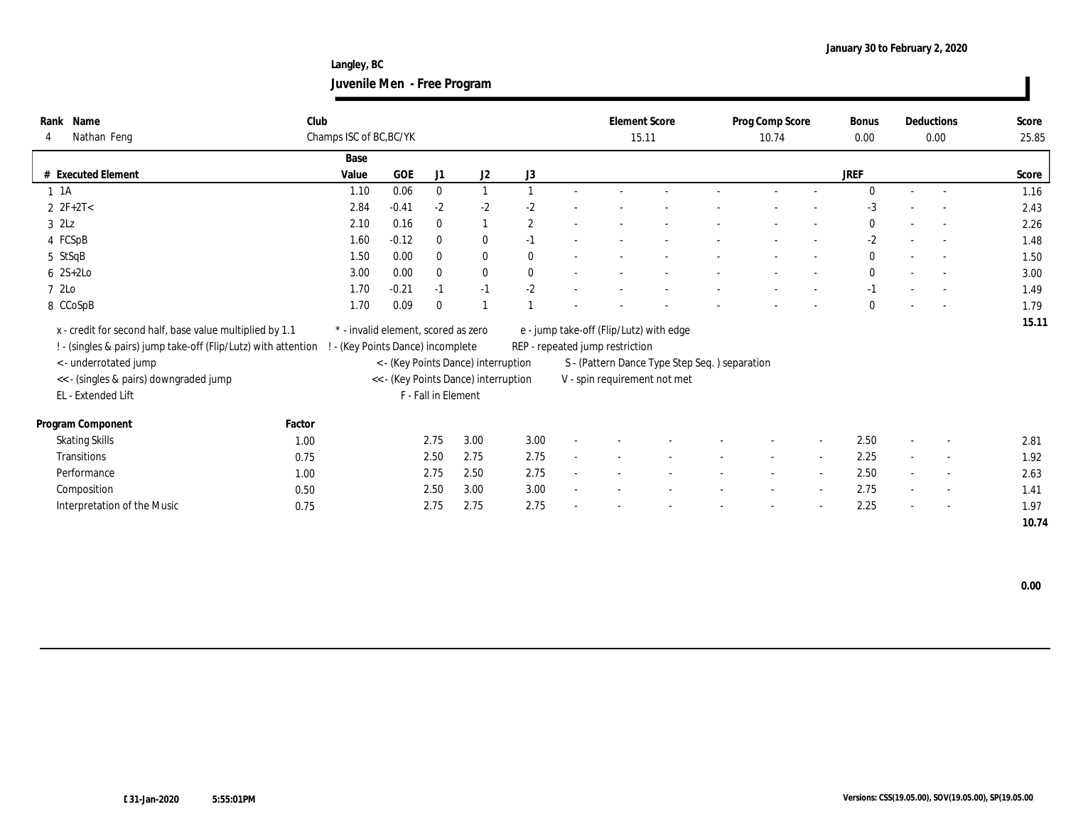**Langley, BC Juvenile Men - Free Program**

| Rank Name<br>Nathan Feng<br>4                                  | Club<br>Champs ISC of BC, BC/YK     |                                      |                     |          |                |  | <b>Element Score</b><br>15.11           |                                               |  | Prog Comp Score<br>10.74 |                          | <b>Bonus</b><br>0.00 |                          | Deductions<br>0.00       | Score<br>25.85 |
|----------------------------------------------------------------|-------------------------------------|--------------------------------------|---------------------|----------|----------------|--|-----------------------------------------|-----------------------------------------------|--|--------------------------|--------------------------|----------------------|--------------------------|--------------------------|----------------|
|                                                                |                                     |                                      |                     |          |                |  |                                         |                                               |  |                          |                          |                      |                          |                          |                |
|                                                                | Base                                |                                      |                     |          |                |  |                                         |                                               |  |                          |                          |                      |                          |                          |                |
| # Executed Element                                             | Value                               | <b>GOE</b>                           | J1                  | J2       | J3             |  |                                         |                                               |  |                          |                          | JREF                 |                          |                          | Score          |
| $1 \t1A$                                                       | 1.10                                | 0.06                                 | $\bf{0}$            |          |                |  |                                         |                                               |  |                          |                          |                      |                          |                          | 1.16           |
| $2 \text{ } 2F + 2T <$                                         | 2.84                                | $-0.41$                              | $-2$                | $-2$     | $-2$           |  |                                         |                                               |  |                          |                          | -3                   |                          |                          | 2.43           |
| $3$ $2\text{L}z$                                               | 2.10                                | 0.16                                 | $\mathbf{0}$        |          | $\overline{2}$ |  |                                         |                                               |  |                          |                          | $\bf{0}$             | $\sim$                   | $\sim$                   | 2.26           |
| 4 FCSpB                                                        | 1.60                                | $-0.12$                              | $\theta$            | $\bf{0}$ | $-1$           |  |                                         |                                               |  |                          |                          | $-2$                 |                          | $\sim$                   | 1.48           |
| 5 StSqB                                                        | 1.50                                | 0.00                                 | $\mathbf{0}$        | $\bf{0}$ | $\mathbf{0}$   |  |                                         |                                               |  |                          |                          | $\mathbf{0}$         | $\overline{\phantom{a}}$ |                          | 1.50           |
| $6 \quad 2S+2Lo$                                               | 3.00                                | 0.00                                 | $\mathbf{0}$        | $\bf{0}$ | $\mathbf{0}$   |  |                                         |                                               |  |                          |                          | $\mathbf{0}$         |                          |                          | 3.00           |
| 7 2Lo                                                          | 1.70                                | $-0.21$                              | $-1$                | $-1$     | $-2$           |  |                                         |                                               |  |                          |                          | $-1$                 |                          |                          | 1.49           |
| 8 CCoSpB                                                       | 1.70                                | 0.09                                 | $\Omega$            |          |                |  |                                         |                                               |  |                          |                          | $\theta$             |                          |                          | 1.79           |
| x - credit for second half, base value multiplied by 1.1       | * - invalid element, scored as zero |                                      |                     |          |                |  | e - jump take-off (Flip/Lutz) with edge |                                               |  |                          |                          |                      |                          |                          | 15.11          |
| ! - (singles & pairs) jump take-off (Flip/Lutz) with attention |                                     | ! - (Key Points Dance) incomplete    |                     |          |                |  | REP - repeated jump restriction         |                                               |  |                          |                          |                      |                          |                          |                |
| < - underrotated jump                                          |                                     | < - (Key Points Dance) interruption  |                     |          |                |  |                                         | S - (Pattern Dance Type Step Seq.) separation |  |                          |                          |                      |                          |                          |                |
| << - (singles & pairs) downgraded jump                         |                                     | << - (Key Points Dance) interruption |                     |          |                |  |                                         | V - spin requirement not met                  |  |                          |                          |                      |                          |                          |                |
| EL - Extended Lift                                             |                                     |                                      | F - Fall in Element |          |                |  |                                         |                                               |  |                          |                          |                      |                          |                          |                |
| Program Component<br>Factor                                    |                                     |                                      |                     |          |                |  |                                         |                                               |  |                          |                          |                      |                          |                          |                |
| <b>Skating Skills</b><br>1.00                                  |                                     |                                      | 2.75                | 3.00     | 3.00           |  |                                         |                                               |  |                          |                          | 2.50                 | $\sim$                   |                          | 2.81           |
| Transitions<br>0.75                                            |                                     |                                      | 2.50                | 2.75     | 2.75           |  |                                         |                                               |  |                          | $\overline{\phantom{a}}$ | 2.25                 | $\sim$                   | $\overline{\phantom{a}}$ | 1.92           |
| Performance<br>1.00                                            |                                     |                                      | 2.75                | 2.50     | 2.75           |  |                                         |                                               |  |                          |                          | 2.50                 | $\sim$                   |                          | 2.63           |
| Composition<br>0.50                                            |                                     |                                      | 2.50                | 3.00     | 3.00           |  |                                         |                                               |  |                          |                          | 2.75                 | $\sim$                   | $\overline{\phantom{a}}$ | 1.41           |
| Interpretation of the Music<br>0.75                            |                                     |                                      | 2.75                | 2.75     | 2.75           |  |                                         |                                               |  |                          |                          | 2.25                 | $\sim$                   |                          | 1.97           |
|                                                                |                                     |                                      |                     |          |                |  |                                         |                                               |  |                          |                          |                      |                          |                          | 10.74          |